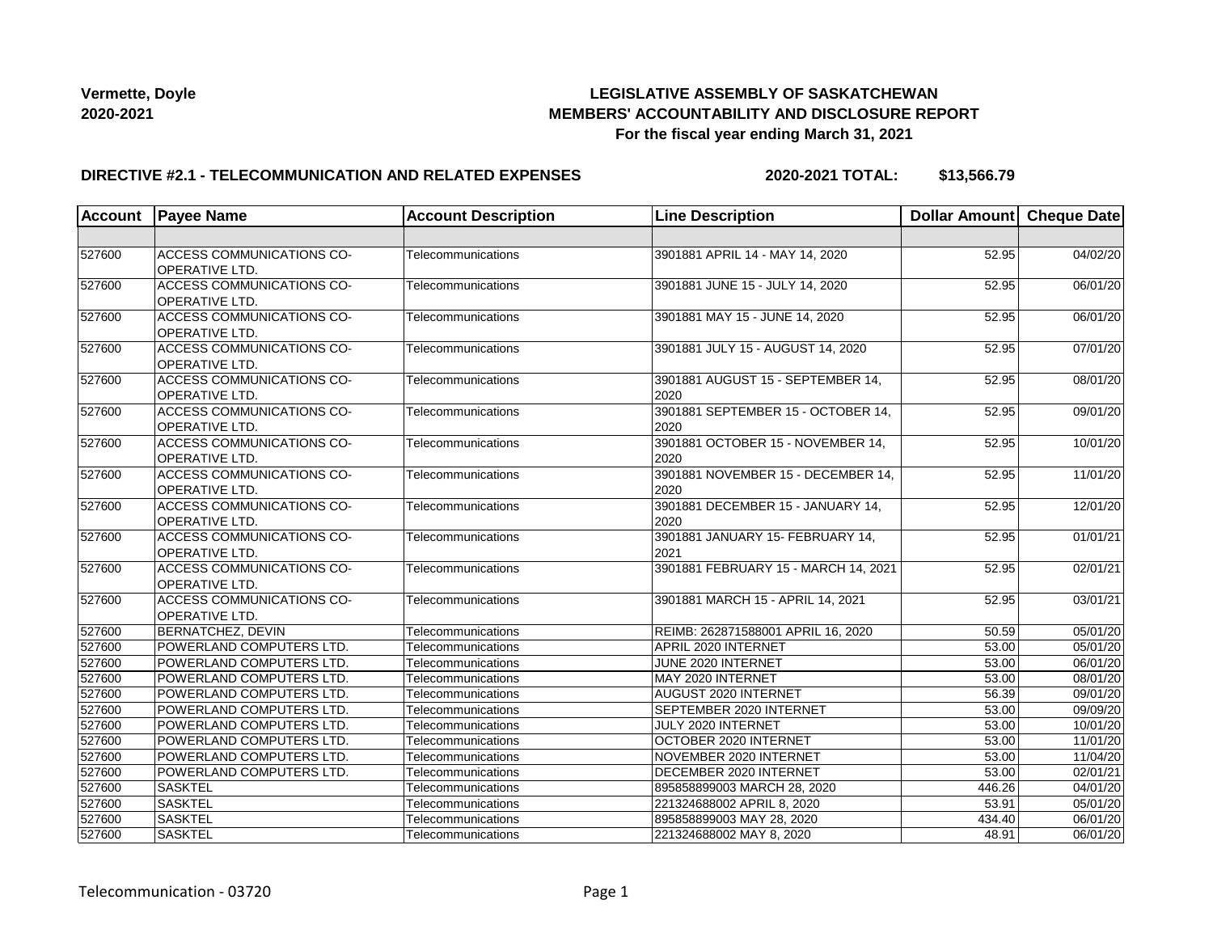# **LEGISLATIVE ASSEMBLY OF SASKATCHEWAN MEMBERS' ACCOUNTABILITY AND DISCLOSURE REPORT For the fiscal year ending March 31, 2021**

### **DIRECTIVE #2.1 - TELECOMMUNICATION AND RELATED EXPENSES**

**2020-2021 TOTAL: \$13,566.79**

| <b>Account</b> | <b>Payee Name</b>                                         | <b>Account Description</b> | <b>Line Description</b>                    | Dollar Amount Cheque Date |                       |
|----------------|-----------------------------------------------------------|----------------------------|--------------------------------------------|---------------------------|-----------------------|
|                |                                                           |                            |                                            |                           |                       |
| 527600         | ACCESS COMMUNICATIONS CO-<br>OPERATIVE LTD.               | Telecommunications         | 3901881 APRIL 14 - MAY 14, 2020            | 52.95                     | 04/02/20              |
| 527600         | <b>ACCESS COMMUNICATIONS CO-</b><br>OPERATIVE LTD.        | Telecommunications         | 3901881 JUNE 15 - JULY 14, 2020            | 52.95                     | 06/01/20              |
| 527600         | ACCESS COMMUNICATIONS CO-<br>OPERATIVE LTD.               | Telecommunications         | 3901881 MAY 15 - JUNE 14, 2020             | 52.95                     | 06/01/20              |
| 527600         | <b>ACCESS COMMUNICATIONS CO-</b><br><b>OPERATIVE LTD.</b> | Telecommunications         | 3901881 JULY 15 - AUGUST 14, 2020          | 52.95                     | 07/01/20              |
| 527600         | ACCESS COMMUNICATIONS CO-<br><b>OPERATIVE LTD.</b>        | Telecommunications         | 3901881 AUGUST 15 - SEPTEMBER 14,<br>2020  | 52.95                     | 08/01/20              |
| 527600         | <b>ACCESS COMMUNICATIONS CO-</b><br><b>OPERATIVE LTD.</b> | Telecommunications         | 3901881 SEPTEMBER 15 - OCTOBER 14,<br>2020 | 52.95                     | 09/01/20              |
| 527600         | ACCESS COMMUNICATIONS CO-<br>OPERATIVE LTD.               | Telecommunications         | 3901881 OCTOBER 15 - NOVEMBER 14,<br>2020  | 52.95                     | 10/01/20              |
| 527600         | ACCESS COMMUNICATIONS CO-<br>OPERATIVE LTD.               | Telecommunications         | 3901881 NOVEMBER 15 - DECEMBER 14,<br>2020 | 52.95                     | 11/01/20              |
| 527600         | ACCESS COMMUNICATIONS CO-<br>OPERATIVE LTD.               | Telecommunications         | 3901881 DECEMBER 15 - JANUARY 14,<br>2020  | 52.95                     | 12/01/20              |
| 527600         | <b>ACCESS COMMUNICATIONS CO-</b><br><b>OPERATIVE LTD.</b> | Telecommunications         | 3901881 JANUARY 15- FEBRUARY 14,<br>2021   | 52.95                     | 01/01/21              |
| 527600         | ACCESS COMMUNICATIONS CO-<br><b>OPERATIVE LTD.</b>        | Telecommunications         | 3901881 FEBRUARY 15 - MARCH 14, 2021       | 52.95                     | 02/01/21              |
| 527600         | <b>ACCESS COMMUNICATIONS CO-</b><br>OPERATIVE LTD.        | Telecommunications         | 3901881 MARCH 15 - APRIL 14, 2021          | 52.95                     | 03/01/21              |
| 527600         | <b>BERNATCHEZ, DEVIN</b>                                  | Telecommunications         | REIMB: 262871588001 APRIL 16, 2020         | 50.59                     | $\overline{05/0}1/20$ |
| 527600         | POWERLAND COMPUTERS LTD.                                  | Telecommunications         | APRIL 2020 INTERNET                        | 53.00                     | 05/01/20              |
| 527600         | POWERLAND COMPUTERS LTD.                                  | Telecommunications         | JUNE 2020 INTERNET                         | 53.00                     | 06/01/20              |
| 527600         | POWERLAND COMPUTERS LTD.                                  | Telecommunications         | MAY 2020 INTERNET                          | 53.00                     | 08/01/20              |
| 527600         | POWERLAND COMPUTERS LTD.                                  | Telecommunications         | AUGUST 2020 INTERNET                       | 56.39                     | $\overline{09/0}1/20$ |
| 527600         | POWERLAND COMPUTERS LTD.                                  | Telecommunications         | SEPTEMBER 2020 INTERNET                    | 53.00                     | 09/09/20              |
| 527600         | POWERLAND COMPUTERS LTD.                                  | Telecommunications         | JULY 2020 INTERNET                         | 53.00                     | 10/01/20              |
| 527600         | POWERLAND COMPUTERS LTD.                                  | Telecommunications         | OCTOBER 2020 INTERNET                      | 53.00                     | 11/01/20              |
| 527600         | POWERLAND COMPUTERS LTD.                                  | Telecommunications         | NOVEMBER 2020 INTERNET                     | 53.00                     | 11/04/20              |
| 527600         | POWERLAND COMPUTERS LTD.                                  | Telecommunications         | DECEMBER 2020 INTERNET                     | 53.00                     | 02/01/21              |
| 527600         | <b>SASKTEL</b>                                            | Telecommunications         | 895858899003 MARCH 28, 2020                | 446.26                    | 04/01/20              |
| 527600         | <b>SASKTEL</b>                                            | Telecommunications         | 221324688002 APRIL 8, 2020                 | 53.91                     | 05/01/20              |
| 527600         | <b>SASKTEL</b>                                            | Telecommunications         | 895858899003 MAY 28, 2020                  | 434.40                    | 06/01/20              |
| 527600         | <b>SASKTEL</b>                                            | Telecommunications         | 221324688002 MAY 8, 2020                   | 48.91                     | 06/01/20              |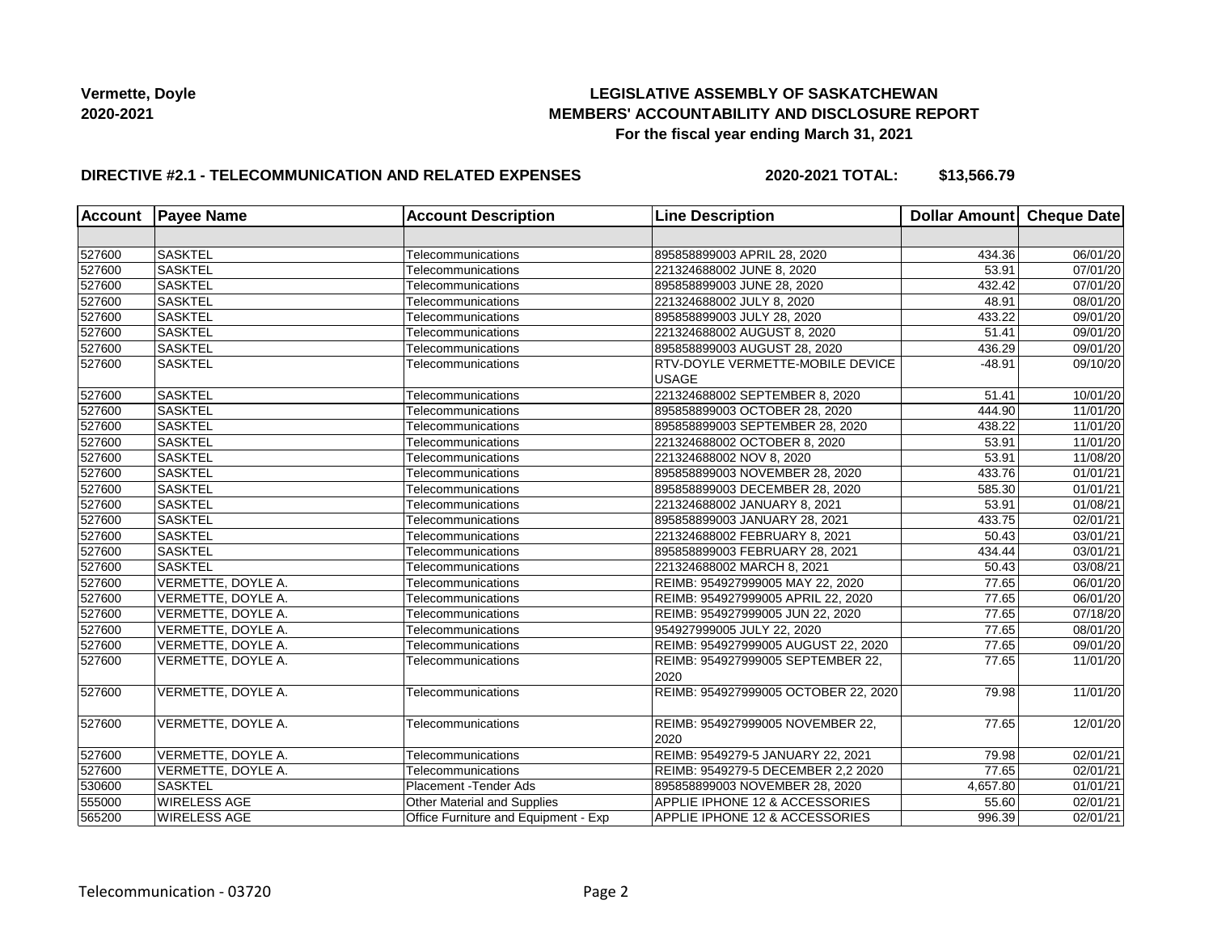# **LEGISLATIVE ASSEMBLY OF SASKATCHEWAN MEMBERS' ACCOUNTABILITY AND DISCLOSURE REPORT For the fiscal year ending March 31, 2021**

# **DIRECTIVE #2.1 - TELECOMMUNICATION AND RELATED EXPENSES**

**2020-2021 TOTAL: \$13,566.79**

| Account | <b>Payee Name</b>   | <b>Account Description</b>           | <b>Line Description</b>                                 | Dollar Amount Cheque Date |                       |
|---------|---------------------|--------------------------------------|---------------------------------------------------------|---------------------------|-----------------------|
|         |                     |                                      |                                                         |                           |                       |
| 527600  | <b>SASKTEL</b>      | Telecommunications                   | 895858899003 APRIL 28, 2020                             | 434.36                    | 06/01/20              |
| 527600  | <b>SASKTEL</b>      | Telecommunications                   | 221324688002 JUNE 8, 2020                               | 53.91                     | 07/01/20              |
| 527600  | <b>SASKTEL</b>      | Telecommunications                   | 895858899003 JUNE 28, 2020                              | 432.42                    | 07/01/20              |
| 527600  | <b>SASKTEL</b>      | Telecommunications                   | 221324688002 JULY 8, 2020                               | 48.91                     | 08/01/20              |
| 527600  | <b>SASKTEL</b>      | Telecommunications                   | 895858899003 JULY 28, 2020                              | 433.22                    | 09/01/20              |
| 527600  | <b>SASKTEL</b>      | Telecommunications                   | 221324688002 AUGUST 8, 2020                             | 51.41                     | 09/01/20              |
| 527600  | <b>SASKTEL</b>      | Telecommunications                   | 895858899003 AUGUST 28, 2020                            | 436.29                    | 09/01/20              |
| 527600  | <b>SASKTEL</b>      | Telecommunications                   | <b>RTV-DOYLE VERMETTE-MOBILE DEVICE</b><br><b>USAGE</b> | $-48.91$                  | 09/10/20              |
| 527600  | SASKTEL             | Telecommunications                   | 221324688002 SEPTEMBER 8, 2020                          | 51.41                     | 10/01/20              |
| 527600  | <b>SASKTEL</b>      | Telecommunications                   | 895858899003 OCTOBER 28, 2020                           | 444.90                    | 11/01/20              |
| 527600  | <b>SASKTEL</b>      | Telecommunications                   | 895858899003 SEPTEMBER 28, 2020                         | 438.22                    | 11/01/20              |
| 527600  | <b>SASKTEL</b>      | Telecommunications                   | 221324688002 OCTOBER 8, 2020                            | 53.91                     | 11/01/20              |
| 527600  | <b>SASKTEL</b>      | Telecommunications                   | 221324688002 NOV 8, 2020                                | 53.91                     | 11/08/20              |
| 527600  | <b>SASKTEL</b>      | Telecommunications                   | 895858899003 NOVEMBER 28, 2020                          | 433.76                    | 01/01/21              |
| 527600  | <b>SASKTEL</b>      | Telecommunications                   | 895858899003 DECEMBER 28, 2020                          | 585.30                    | 01/01/21              |
| 527600  | <b>SASKTEL</b>      | Telecommunications                   | 221324688002 JANUARY 8, 2021                            | 53.91                     | 01/08/21              |
| 527600  | <b>SASKTEL</b>      | Telecommunications                   | 895858899003 JANUARY 28, 2021                           | 433.75                    | 02/01/21              |
| 527600  | <b>SASKTEL</b>      | Telecommunications                   | 221324688002 FEBRUARY 8, 2021                           | 50.43                     | 03/01/21              |
| 527600  | <b>SASKTEL</b>      | Telecommunications                   | 895858899003 FEBRUARY 28, 2021                          | 434.44                    | 03/01/21              |
| 527600  | <b>SASKTEL</b>      | Telecommunications                   | 221324688002 MARCH 8, 2021                              | 50.43                     | 03/08/21              |
| 527600  | VERMETTE, DOYLE A.  | Telecommunications                   | REIMB: 954927999005 MAY 22, 2020                        | 77.65                     | 06/01/20              |
| 527600  | VERMETTE, DOYLE A.  | Telecommunications                   | REIMB: 954927999005 APRIL 22, 2020                      | 77.65                     | 06/01/20              |
| 527600  | VERMETTE, DOYLE A.  | Telecommunications                   | REIMB: 954927999005 JUN 22, 2020                        | 77.65                     | 07/18/20              |
| 527600  | VERMETTE, DOYLE A.  | Telecommunications                   | 954927999005 JULY 22, 2020                              | 77.65                     | 08/01/20              |
| 527600  | VERMETTE, DOYLE A.  | Telecommunications                   | REIMB: 954927999005 AUGUST 22, 2020                     | 77.65                     | 09/01/20              |
| 527600  | VERMETTE, DOYLE A.  | Telecommunications                   | REIMB: 954927999005 SEPTEMBER 22,<br>2020               | 77.65                     | 11/01/20              |
| 527600  | VERMETTE, DOYLE A.  | Telecommunications                   | REIMB: 954927999005 OCTOBER 22, 2020                    | 79.98                     | 11/01/20              |
| 527600  | VERMETTE, DOYLE A.  | Telecommunications                   | REIMB: 954927999005 NOVEMBER 22,<br>2020                | 77.65                     | 12/01/20              |
| 527600  | VERMETTE, DOYLE A.  | Telecommunications                   | REIMB: 9549279-5 JANUARY 22, 2021                       | 79.98                     | 02/01/21              |
| 527600  | VERMETTE, DOYLE A.  | Telecommunications                   | REIMB: 9549279-5 DECEMBER 2,2 2020                      | 77.65                     | 02/01/21              |
| 530600  | <b>SASKTEL</b>      | Placement - Tender Ads               | 895858899003 NOVEMBER 28, 2020                          | 4,657.80                  | 01/01/21              |
| 555000  | <b>WIRELESS AGE</b> | <b>Other Material and Supplies</b>   | APPLIE IPHONE 12 & ACCESSORIES                          | 55.60                     | $\overline{02}/01/21$ |
| 565200  | <b>WIRELESS AGE</b> | Office Furniture and Equipment - Exp | <b>APPLIE IPHONE 12 &amp; ACCESSORIES</b>               | 996.39                    | 02/01/21              |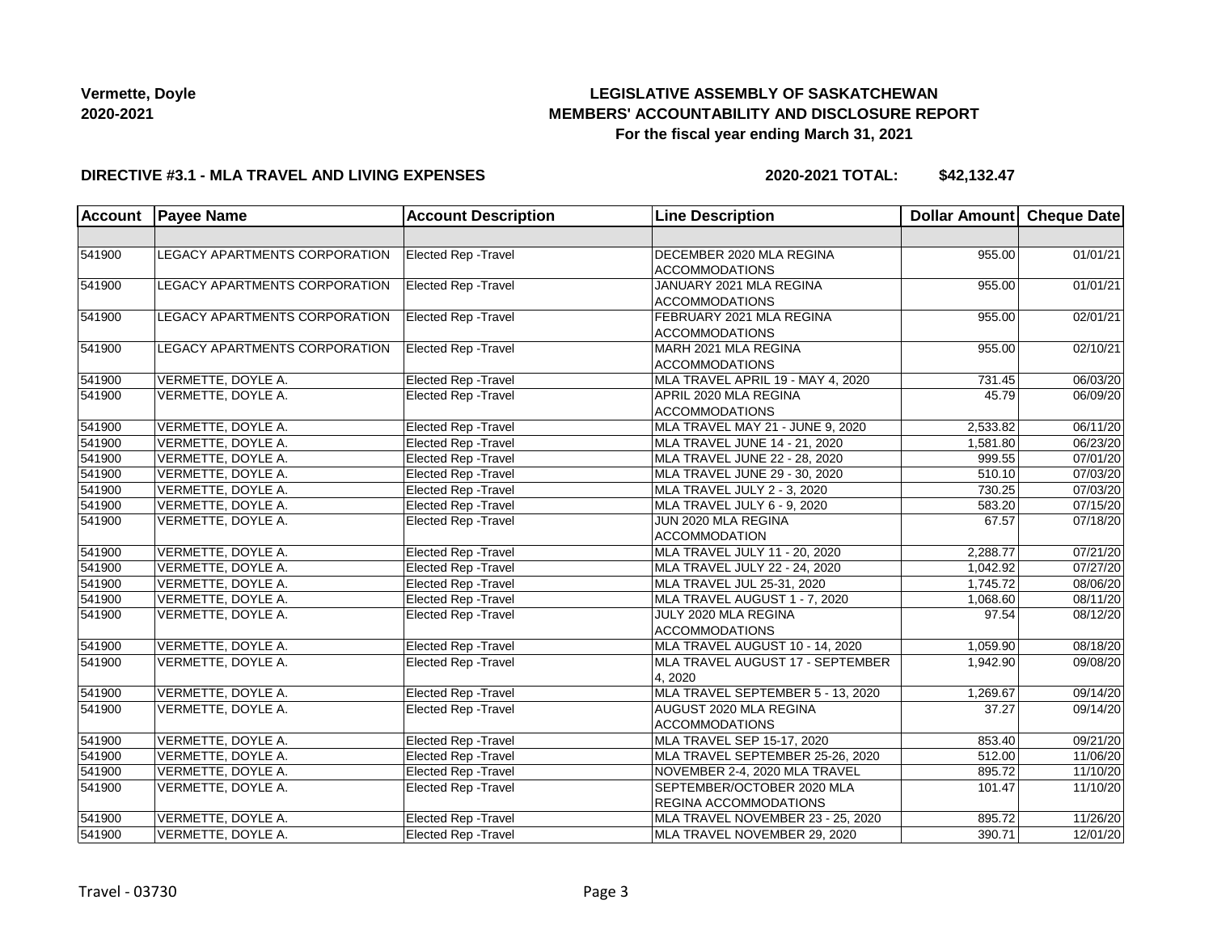# **LEGISLATIVE ASSEMBLY OF SASKATCHEWAN MEMBERS' ACCOUNTABILITY AND DISCLOSURE REPORT For the fiscal year ending March 31, 2021**

### **DIRECTIVE #3.1 - MLA TRAVEL AND LIVING EXPENSES**

**2020-2021 TOTAL: \$42,132.47**

| <b>Account</b> | <b>Payee Name</b>                    | <b>Account Description</b>  | <b>Line Description</b>                                    | Dollar Amount Cheque Date |                       |
|----------------|--------------------------------------|-----------------------------|------------------------------------------------------------|---------------------------|-----------------------|
|                |                                      |                             |                                                            |                           |                       |
| 541900         | <b>LEGACY APARTMENTS CORPORATION</b> | Elected Rep - Travel        | DECEMBER 2020 MLA REGINA<br><b>ACCOMMODATIONS</b>          | 955.00                    | 01/01/21              |
| 541900         | LEGACY APARTMENTS CORPORATION        | <b>Elected Rep - Travel</b> | JANUARY 2021 MLA REGINA<br><b>ACCOMMODATIONS</b>           | 955.00                    | 01/01/21              |
| 541900         | LEGACY APARTMENTS CORPORATION        | Elected Rep - Travel        | FEBRUARY 2021 MLA REGINA<br><b>ACCOMMODATIONS</b>          | 955.00                    | 02/01/21              |
| 541900         | LEGACY APARTMENTS CORPORATION        | <b>Elected Rep - Travel</b> | MARH 2021 MLA REGINA<br><b>ACCOMMODATIONS</b>              | 955.00                    | 02/10/21              |
| 541900         | VERMETTE, DOYLE A.                   | Elected Rep - Travel        | MLA TRAVEL APRIL 19 - MAY 4, 2020                          | 731.45                    | 06/03/20              |
| 541900         | VERMETTE, DOYLE A.                   | Elected Rep - Travel        | APRIL 2020 MLA REGINA<br><b>ACCOMMODATIONS</b>             | 45.79                     | 06/09/20              |
| 541900         | VERMETTE, DOYLE A.                   | Elected Rep - Travel        | MLA TRAVEL MAY 21 - JUNE 9, 2020                           | 2,533.82                  | 06/11/20              |
| 541900         | VERMETTE, DOYLE A.                   | Elected Rep - Travel        | MLA TRAVEL JUNE 14 - 21, 2020                              | 1,581.80                  | 06/23/20              |
| 541900         | VERMETTE, DOYLE A.                   | <b>Elected Rep - Travel</b> | MLA TRAVEL JUNE 22 - 28, 2020                              | 999.55                    | 07/01/20              |
| 541900         | VERMETTE, DOYLE A.                   | <b>Elected Rep - Travel</b> | MLA TRAVEL JUNE 29 - 30, 2020                              | 510.10                    | 07/03/20              |
| 541900         | VERMETTE, DOYLE A.                   | <b>Elected Rep - Travel</b> | MLA TRAVEL JULY 2 - 3, 2020                                | 730.25                    | 07/03/20              |
| 541900         | VERMETTE, DOYLE A.                   | Elected Rep - Travel        | MLA TRAVEL JULY 6 - 9, 2020                                | 583.20                    | 07/15/20              |
| 541900         | VERMETTE, DOYLE A.                   | Elected Rep - Travel        | JUN 2020 MLA REGINA<br><b>ACCOMMODATION</b>                | 67.57                     | 07/18/20              |
| 541900         | VERMETTE, DOYLE A.                   | Elected Rep - Travel        | MLA TRAVEL JULY 11 - 20, 2020                              | 2,288.77                  | $\overline{07/21/20}$ |
| 541900         | VERMETTE, DOYLE A.                   | Elected Rep - Travel        | MLA TRAVEL JULY 22 - 24, 2020                              | 1,042.92                  | 07/27/20              |
| 541900         | VERMETTE, DOYLE A.                   | <b>Elected Rep - Travel</b> | MLA TRAVEL JUL 25-31, 2020                                 | 1,745.72                  | 08/06/20              |
| 541900         | VERMETTE, DOYLE A.                   | <b>Elected Rep - Travel</b> | MLA TRAVEL AUGUST 1 - 7, 2020                              | 1,068.60                  | 08/11/20              |
| 541900         | VERMETTE, DOYLE A.                   | <b>Elected Rep - Travel</b> | JULY 2020 MLA REGINA<br><b>ACCOMMODATIONS</b>              | 97.54                     | 08/12/20              |
| 541900         | VERMETTE, DOYLE A.                   | Elected Rep - Travel        | MLA TRAVEL AUGUST 10 - 14, 2020                            | 1,059.90                  | 08/18/20              |
| 541900         | VERMETTE, DOYLE A.                   | <b>Elected Rep - Travel</b> | MLA TRAVEL AUGUST 17 - SEPTEMBER<br>4, 2020                | 1,942.90                  | 09/08/20              |
| 541900         | VERMETTE, DOYLE A.                   | Elected Rep - Travel        | MLA TRAVEL SEPTEMBER 5 - 13, 2020                          | 1,269.67                  | 09/14/20              |
| 541900         | VERMETTE, DOYLE A.                   | Elected Rep - Travel        | AUGUST 2020 MLA REGINA<br><b>ACCOMMODATIONS</b>            | 37.27                     | 09/14/20              |
| 541900         | VERMETTE, DOYLE A.                   | <b>Elected Rep - Travel</b> | MLA TRAVEL SEP 15-17, 2020                                 | 853.40                    | 09/21/20              |
| 541900         | VERMETTE, DOYLE A.                   | <b>Elected Rep - Travel</b> | MLA TRAVEL SEPTEMBER 25-26, 2020                           | 512.00                    | 11/06/20              |
| 541900         | VERMETTE, DOYLE A.                   | <b>Elected Rep - Travel</b> | NOVEMBER 2-4, 2020 MLA TRAVEL                              | 895.72                    | 11/10/20              |
| 541900         | VERMETTE, DOYLE A.                   | Elected Rep - Travel        | SEPTEMBER/OCTOBER 2020 MLA<br><b>REGINA ACCOMMODATIONS</b> | 101.47                    | 11/10/20              |
| 541900         | VERMETTE, DOYLE A.                   | Elected Rep - Travel        | MLA TRAVEL NOVEMBER 23 - 25, 2020                          | 895.72                    | 11/26/20              |
| 541900         | VERMETTE, DOYLE A.                   | <b>Elected Rep - Travel</b> | MLA TRAVEL NOVEMBER 29, 2020                               | 390.71                    | 12/01/20              |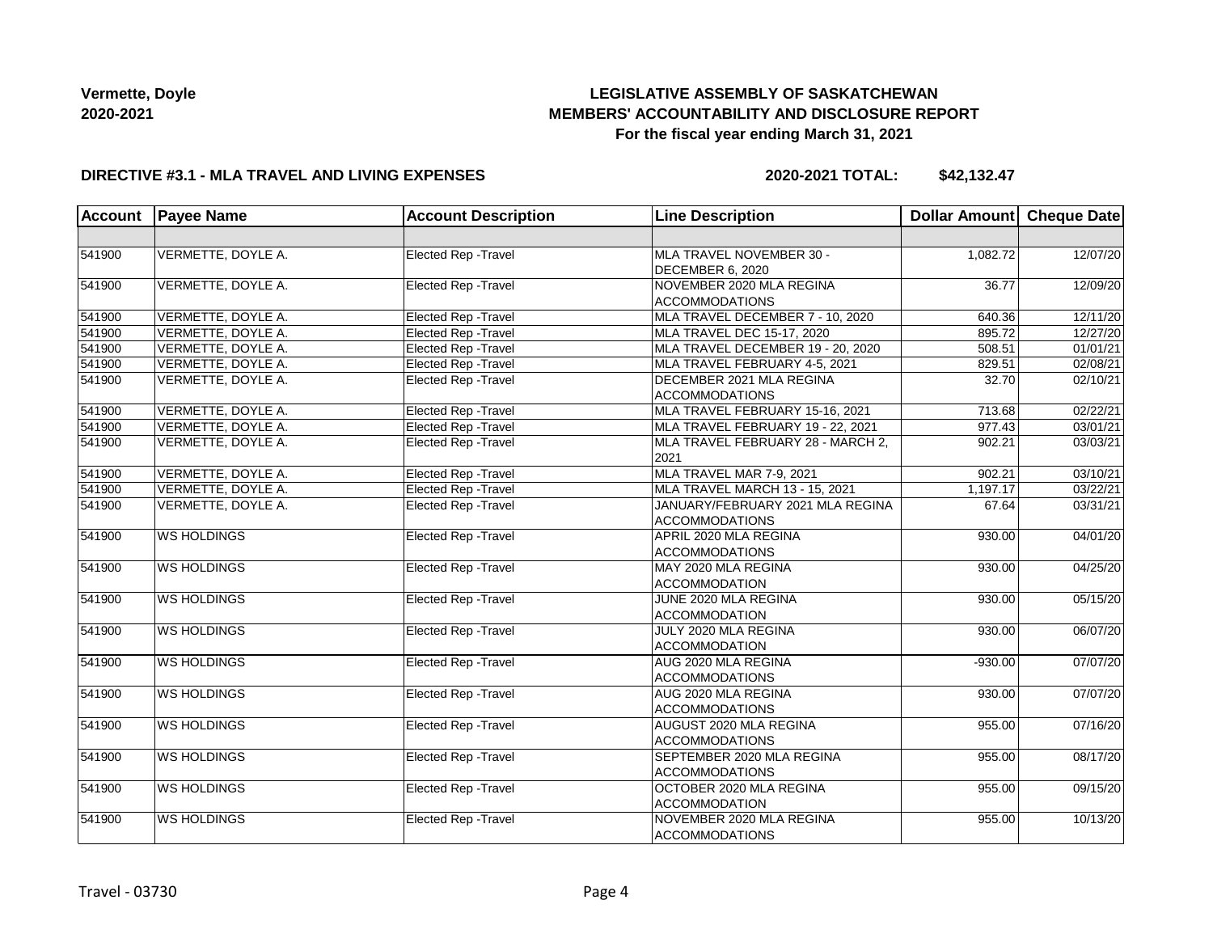# **LEGISLATIVE ASSEMBLY OF SASKATCHEWAN MEMBERS' ACCOUNTABILITY AND DISCLOSURE REPORT For the fiscal year ending March 31, 2021**

### **DIRECTIVE #3.1 - MLA TRAVEL AND LIVING EXPENSES**

**2020-2021 TOTAL: \$42,132.47**

| <b>Account</b> | <b>Payee Name</b>  | <b>Account Description</b>  | <b>Line Description</b>                                   | Dollar Amount Cheque Date |          |
|----------------|--------------------|-----------------------------|-----------------------------------------------------------|---------------------------|----------|
|                |                    |                             |                                                           |                           |          |
| 541900         | VERMETTE, DOYLE A. | Elected Rep - Travel        | MLA TRAVEL NOVEMBER 30 -<br>DECEMBER 6, 2020              | 1,082.72                  | 12/07/20 |
| 541900         | VERMETTE, DOYLE A. | Elected Rep - Travel        | NOVEMBER 2020 MLA REGINA<br><b>ACCOMMODATIONS</b>         | 36.77                     | 12/09/20 |
| 541900         | VERMETTE, DOYLE A. | Elected Rep - Travel        | MLA TRAVEL DECEMBER 7 - 10, 2020                          | 640.36                    | 12/11/20 |
| 541900         | VERMETTE, DOYLE A. | Elected Rep - Travel        | MLA TRAVEL DEC 15-17, 2020                                | 895.72                    | 12/27/20 |
| 541900         | VERMETTE, DOYLE A. | Elected Rep - Travel        | MLA TRAVEL DECEMBER 19 - 20, 2020                         | 508.51                    | 01/01/21 |
| 541900         | VERMETTE, DOYLE A. | Elected Rep - Travel        | MLA TRAVEL FEBRUARY 4-5, 2021                             | 829.51                    | 02/08/21 |
| 541900         | VERMETTE, DOYLE A. | Elected Rep - Travel        | DECEMBER 2021 MLA REGINA<br><b>ACCOMMODATIONS</b>         | 32.70                     | 02/10/21 |
| 541900         | VERMETTE, DOYLE A. | Elected Rep - Travel        | MLA TRAVEL FEBRUARY 15-16, 2021                           | 713.68                    | 02/22/21 |
| 541900         | VERMETTE, DOYLE A. | Elected Rep - Travel        | MLA TRAVEL FEBRUARY 19 - 22, 2021                         | 977.43                    | 03/01/21 |
| 541900         | VERMETTE, DOYLE A. | Elected Rep - Travel        | MLA TRAVEL FEBRUARY 28 - MARCH 2,<br>2021                 | 902.21                    | 03/03/21 |
| 541900         | VERMETTE, DOYLE A. | Elected Rep - Travel        | MLA TRAVEL MAR 7-9, 2021                                  | 902.21                    | 03/10/21 |
| 541900         | VERMETTE, DOYLE A. | <b>Elected Rep - Travel</b> | MLA TRAVEL MARCH 13 - 15, 2021                            | 1,197.17                  | 03/22/21 |
| 541900         | VERMETTE, DOYLE A. | Elected Rep - Travel        | JANUARY/FEBRUARY 2021 MLA REGINA<br><b>ACCOMMODATIONS</b> | 67.64                     | 03/31/21 |
| 541900         | <b>WS HOLDINGS</b> | Elected Rep - Travel        | APRIL 2020 MLA REGINA<br><b>ACCOMMODATIONS</b>            | 930.00                    | 04/01/20 |
| 541900         | <b>WS HOLDINGS</b> | Elected Rep - Travel        | MAY 2020 MLA REGINA<br><b>ACCOMMODATION</b>               | 930.00                    | 04/25/20 |
| 541900         | <b>WS HOLDINGS</b> | Elected Rep - Travel        | JUNE 2020 MLA REGINA<br><b>ACCOMMODATION</b>              | 930.00                    | 05/15/20 |
| 541900         | <b>WS HOLDINGS</b> | Elected Rep - Travel        | JULY 2020 MLA REGINA<br><b>ACCOMMODATION</b>              | 930.00                    | 06/07/20 |
| 541900         | <b>WS HOLDINGS</b> | Elected Rep - Travel        | AUG 2020 MLA REGINA<br><b>ACCOMMODATIONS</b>              | $-930.00$                 | 07/07/20 |
| 541900         | <b>WS HOLDINGS</b> | Elected Rep - Travel        | AUG 2020 MLA REGINA<br><b>ACCOMMODATIONS</b>              | 930.00                    | 07/07/20 |
| 541900         | <b>WS HOLDINGS</b> | Elected Rep - Travel        | AUGUST 2020 MLA REGINA<br><b>ACCOMMODATIONS</b>           | 955.00                    | 07/16/20 |
| 541900         | <b>WS HOLDINGS</b> | Elected Rep - Travel        | SEPTEMBER 2020 MLA REGINA<br><b>ACCOMMODATIONS</b>        | 955.00                    | 08/17/20 |
| 541900         | <b>WS HOLDINGS</b> | Elected Rep - Travel        | OCTOBER 2020 MLA REGINA<br><b>ACCOMMODATION</b>           | 955.00                    | 09/15/20 |
| 541900         | <b>WS HOLDINGS</b> | Elected Rep - Travel        | NOVEMBER 2020 MLA REGINA<br><b>ACCOMMODATIONS</b>         | 955.00                    | 10/13/20 |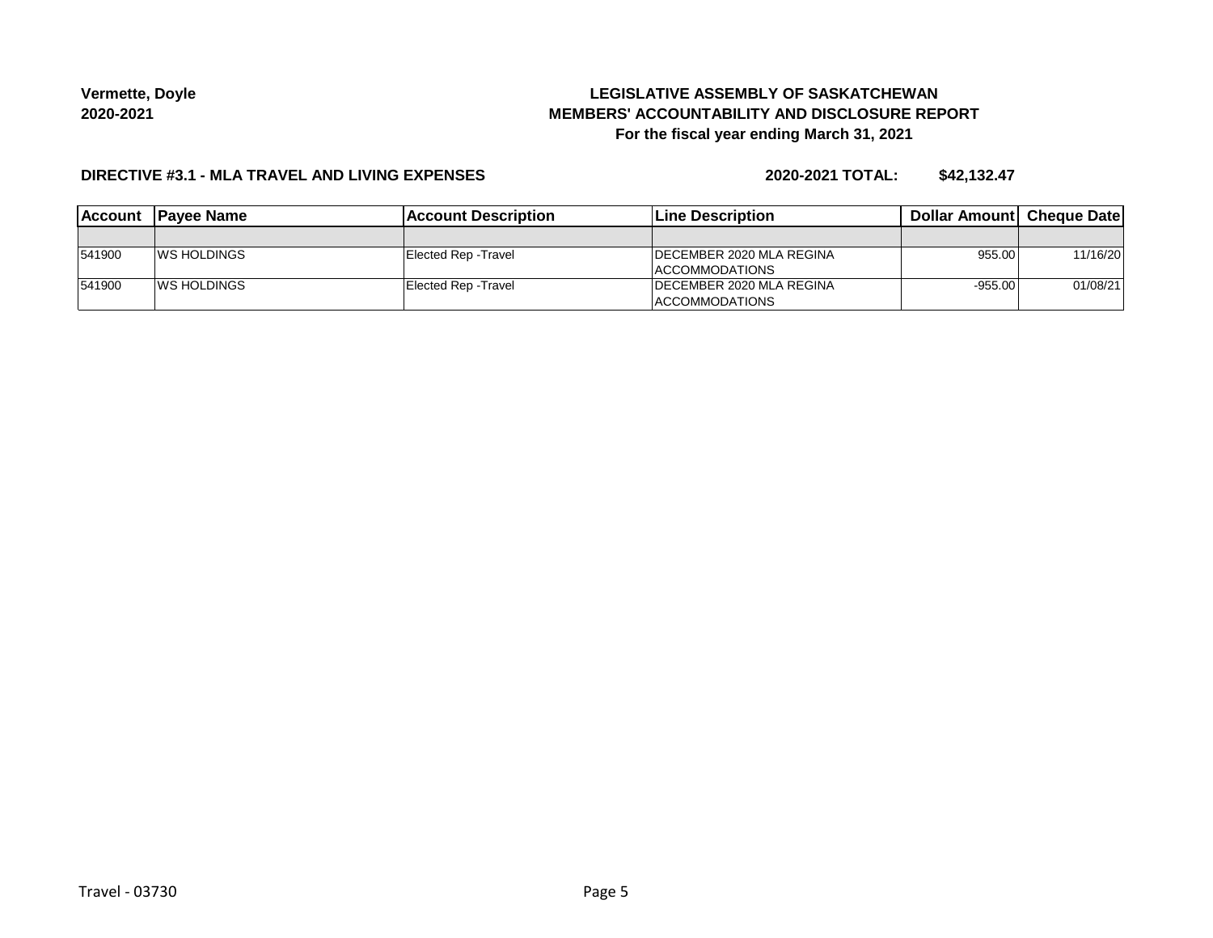# **LEGISLATIVE ASSEMBLY OF SASKATCHEWAN MEMBERS' ACCOUNTABILITY AND DISCLOSURE REPORT For the fiscal year ending March 31, 2021**

### **DIRECTIVE #3.1 - MLA TRAVEL AND LIVING EXPENSES**

**2020-2021 TOTAL: \$42,132.47**

| <b>IAccount</b> | <b>IPavee Name</b>  | <b>IAccount Description</b> | Line Description                 | <b>Dollar Amountl Cheque Date</b> |          |
|-----------------|---------------------|-----------------------------|----------------------------------|-----------------------------------|----------|
|                 |                     |                             |                                  |                                   |          |
| 541900          | <b>IWS HOLDINGS</b> | Elected Rep - Travel        | <b>IDECEMBER 2020 MLA REGINA</b> | 955.00                            | 11/16/20 |
|                 |                     |                             | <b>IACCOMMODATIONS</b>           |                                   |          |
| 541900          | <b>IWS HOLDINGS</b> | Elected Rep - Travel        | <b>IDECEMBER 2020 MLA REGINA</b> | $-955.00$                         | 01/08/21 |
|                 |                     |                             | <b>ACCOMMODATIONS</b>            |                                   |          |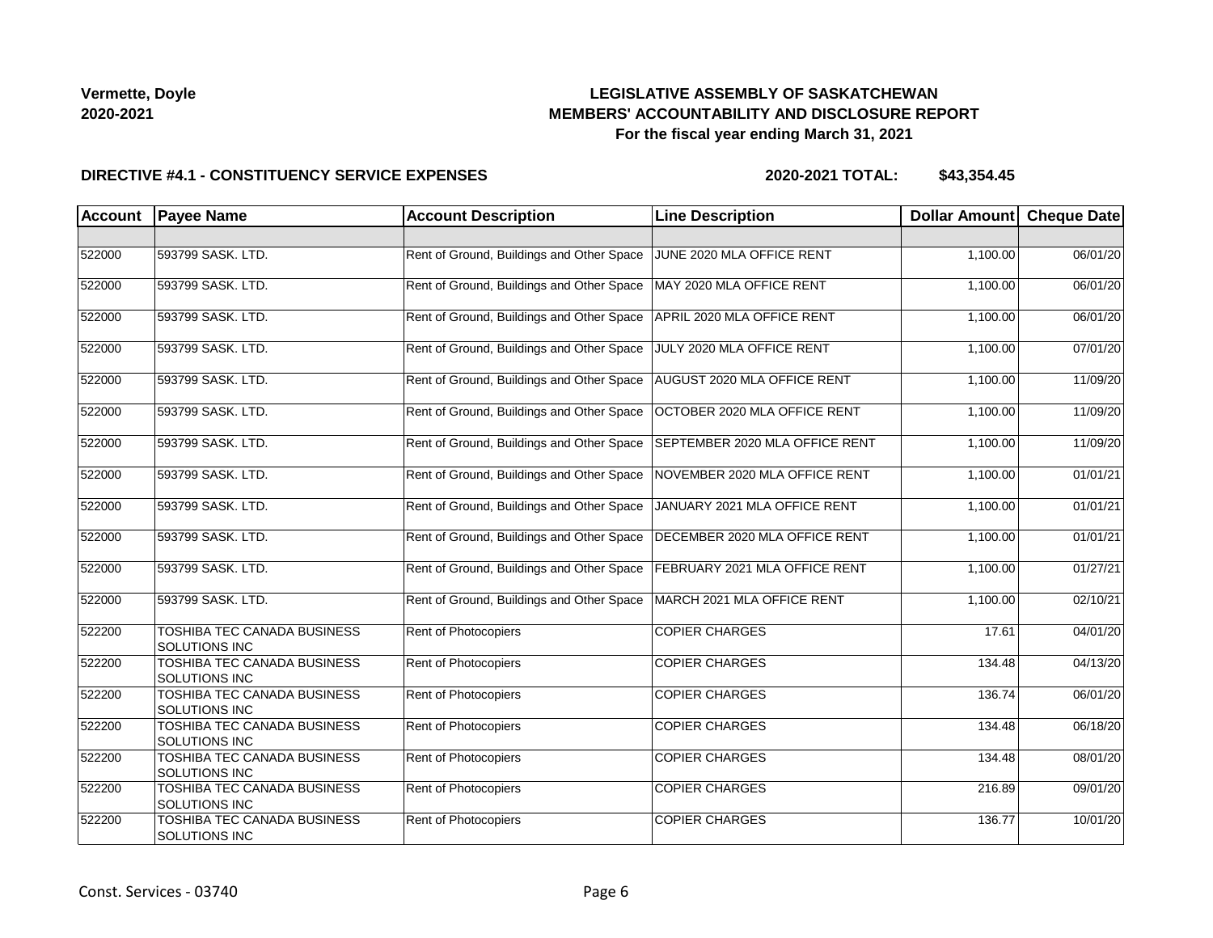# **LEGISLATIVE ASSEMBLY OF SASKATCHEWAN MEMBERS' ACCOUNTABILITY AND DISCLOSURE REPORT For the fiscal year ending March 31, 2021**

### **DIRECTIVE #4.1 - CONSTITUENCY SERVICE EXPENSES**

| <b>Account</b> | <b>Payee Name</b>                                   | <b>Account Description</b>                | <b>Line Description</b>        | <b>Dollar Amount</b> | <b>Cheque Date</b> |
|----------------|-----------------------------------------------------|-------------------------------------------|--------------------------------|----------------------|--------------------|
|                |                                                     |                                           |                                |                      |                    |
| 522000         | 593799 SASK. LTD.                                   | Rent of Ground, Buildings and Other Space | JUNE 2020 MLA OFFICE RENT      | 1,100.00             | 06/01/20           |
| 522000         | 593799 SASK. LTD.                                   | Rent of Ground, Buildings and Other Space | MAY 2020 MLA OFFICE RENT       | 1,100.00             | 06/01/20           |
| 522000         | 593799 SASK. LTD.                                   | Rent of Ground, Buildings and Other Space | APRIL 2020 MLA OFFICE RENT     | 1,100.00             | 06/01/20           |
| 522000         | 593799 SASK. LTD.                                   | Rent of Ground, Buildings and Other Space | JULY 2020 MLA OFFICE RENT      | 1,100.00             | 07/01/20           |
| 522000         | 593799 SASK. LTD.                                   | Rent of Ground, Buildings and Other Space | AUGUST 2020 MLA OFFICE RENT    | 1,100.00             | 11/09/20           |
| 522000         | 593799 SASK. LTD.                                   | Rent of Ground, Buildings and Other Space | OCTOBER 2020 MLA OFFICE RENT   | 1,100.00             | 11/09/20           |
| 522000         | 593799 SASK. LTD.                                   | Rent of Ground, Buildings and Other Space | SEPTEMBER 2020 MLA OFFICE RENT | 1,100.00             | 11/09/20           |
| 522000         | 593799 SASK. LTD.                                   | Rent of Ground, Buildings and Other Space | NOVEMBER 2020 MLA OFFICE RENT  | 1,100.00             | 01/01/21           |
| 522000         | 593799 SASK. LTD.                                   | Rent of Ground, Buildings and Other Space | JANUARY 2021 MLA OFFICE RENT   | 1,100.00             | 01/01/21           |
| 522000         | 593799 SASK. LTD.                                   | Rent of Ground, Buildings and Other Space | DECEMBER 2020 MLA OFFICE RENT  | 1,100.00             | 01/01/21           |
| 522000         | 593799 SASK. LTD.                                   | Rent of Ground, Buildings and Other Space | FEBRUARY 2021 MLA OFFICE RENT  | 1,100.00             | 01/27/21           |
| 522000         | 593799 SASK. LTD.                                   | Rent of Ground, Buildings and Other Space | MARCH 2021 MLA OFFICE RENT     | 1,100.00             | 02/10/21           |
| 522200         | TOSHIBA TEC CANADA BUSINESS<br><b>SOLUTIONS INC</b> | <b>Rent of Photocopiers</b>               | <b>COPIER CHARGES</b>          | 17.61                | 04/01/20           |
| 522200         | TOSHIBA TEC CANADA BUSINESS<br><b>SOLUTIONS INC</b> | Rent of Photocopiers                      | <b>COPIER CHARGES</b>          | 134.48               | 04/13/20           |
| 522200         | TOSHIBA TEC CANADA BUSINESS<br><b>SOLUTIONS INC</b> | <b>Rent of Photocopiers</b>               | <b>COPIER CHARGES</b>          | 136.74               | 06/01/20           |
| 522200         | TOSHIBA TEC CANADA BUSINESS<br><b>SOLUTIONS INC</b> | Rent of Photocopiers                      | <b>COPIER CHARGES</b>          | 134.48               | 06/18/20           |
| 522200         | TOSHIBA TEC CANADA BUSINESS<br><b>SOLUTIONS INC</b> | <b>Rent of Photocopiers</b>               | <b>COPIER CHARGES</b>          | 134.48               | 08/01/20           |
| 522200         | TOSHIBA TEC CANADA BUSINESS<br><b>SOLUTIONS INC</b> | Rent of Photocopiers                      | <b>COPIER CHARGES</b>          | 216.89               | 09/01/20           |
| 522200         | <b>TOSHIBA TEC CANADA BUSINESS</b><br>SOLUTIONS INC | Rent of Photocopiers                      | <b>COPIER CHARGES</b>          | 136.77               | 10/01/20           |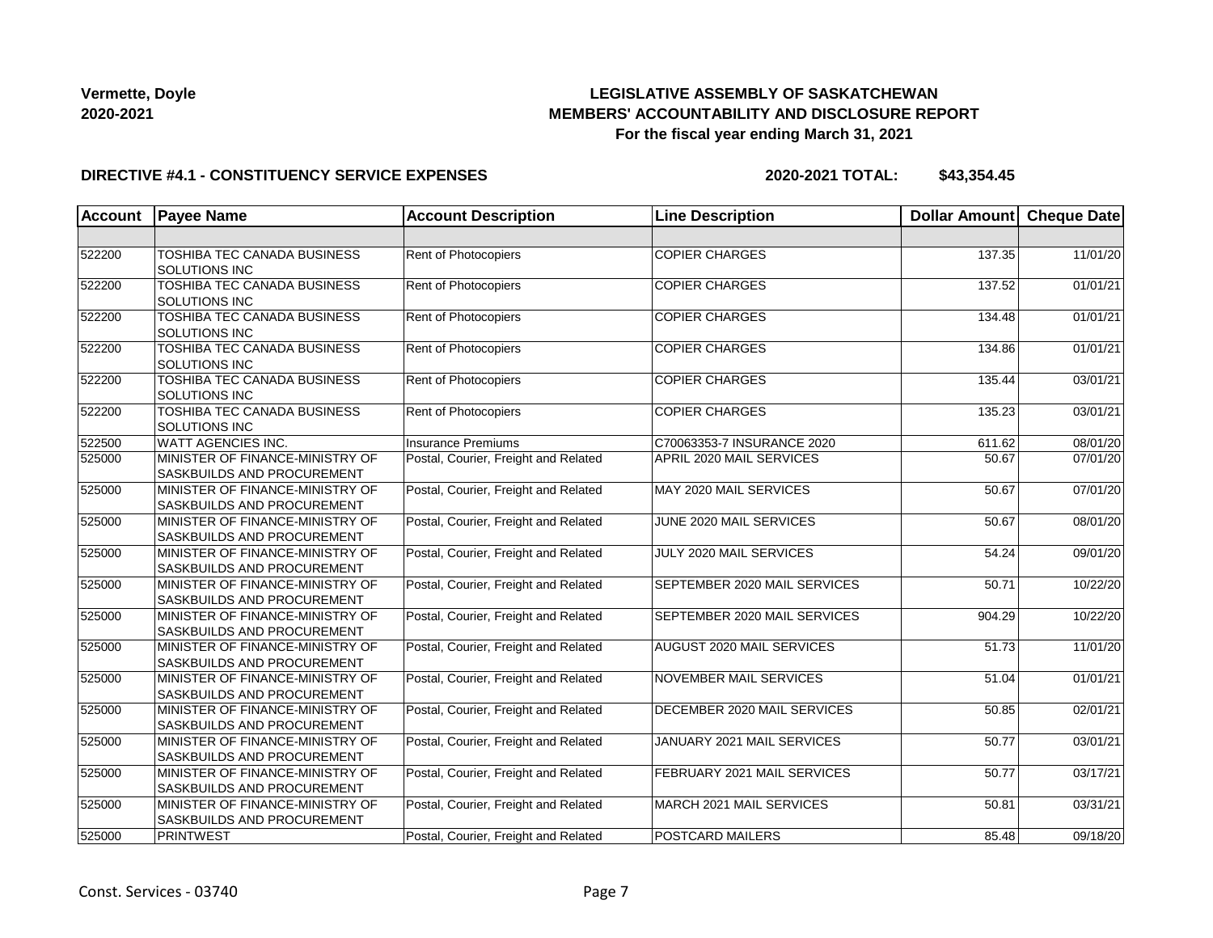# **LEGISLATIVE ASSEMBLY OF SASKATCHEWAN MEMBERS' ACCOUNTABILITY AND DISCLOSURE REPORT For the fiscal year ending March 31, 2021**

### **DIRECTIVE #4.1 - CONSTITUENCY SERVICE EXPENSES**

| <b>Account</b> | <b>Payee Name</b>                                                    | <b>Account Description</b>           | <b>Line Description</b>       | <b>Dollar Amount</b> | Cheque Date |
|----------------|----------------------------------------------------------------------|--------------------------------------|-------------------------------|----------------------|-------------|
|                |                                                                      |                                      |                               |                      |             |
| 522200         | TOSHIBA TEC CANADA BUSINESS<br><b>SOLUTIONS INC</b>                  | <b>Rent of Photocopiers</b>          | <b>COPIER CHARGES</b>         | 137.35               | 11/01/20    |
| 522200         | TOSHIBA TEC CANADA BUSINESS<br><b>SOLUTIONS INC</b>                  | Rent of Photocopiers                 | <b>COPIER CHARGES</b>         | 137.52               | 01/01/21    |
| 522200         | TOSHIBA TEC CANADA BUSINESS<br><b>SOLUTIONS INC</b>                  | <b>Rent of Photocopiers</b>          | <b>COPIER CHARGES</b>         | 134.48               | 01/01/21    |
| 522200         | TOSHIBA TEC CANADA BUSINESS<br><b>SOLUTIONS INC</b>                  | Rent of Photocopiers                 | <b>COPIER CHARGES</b>         | 134.86               | 01/01/21    |
| 522200         | TOSHIBA TEC CANADA BUSINESS<br><b>SOLUTIONS INC</b>                  | <b>Rent of Photocopiers</b>          | <b>COPIER CHARGES</b>         | 135.44               | 03/01/21    |
| 522200         | TOSHIBA TEC CANADA BUSINESS<br><b>SOLUTIONS INC</b>                  | <b>Rent of Photocopiers</b>          | <b>COPIER CHARGES</b>         | 135.23               | 03/01/21    |
| 522500         | <b>WATT AGENCIES INC.</b>                                            | <b>Insurance Premiums</b>            | C70063353-7 INSURANCE 2020    | 611.62               | 08/01/20    |
| 525000         | MINISTER OF FINANCE-MINISTRY OF<br>SASKBUILDS AND PROCUREMENT        | Postal, Courier, Freight and Related | APRIL 2020 MAIL SERVICES      | 50.67                | 07/01/20    |
| 525000         | MINISTER OF FINANCE-MINISTRY OF<br><b>SASKBUILDS AND PROCUREMENT</b> | Postal, Courier, Freight and Related | MAY 2020 MAIL SERVICES        | 50.67                | 07/01/20    |
| 525000         | MINISTER OF FINANCE-MINISTRY OF<br>SASKBUILDS AND PROCUREMENT        | Postal, Courier, Freight and Related | JUNE 2020 MAIL SERVICES       | 50.67                | 08/01/20    |
| 525000         | MINISTER OF FINANCE-MINISTRY OF<br>SASKBUILDS AND PROCUREMENT        | Postal, Courier, Freight and Related | JULY 2020 MAIL SERVICES       | 54.24                | 09/01/20    |
| 525000         | MINISTER OF FINANCE-MINISTRY OF<br><b>SASKBUILDS AND PROCUREMENT</b> | Postal, Courier, Freight and Related | SEPTEMBER 2020 MAIL SERVICES  | 50.71                | 10/22/20    |
| 525000         | MINISTER OF FINANCE-MINISTRY OF<br><b>SASKBUILDS AND PROCUREMENT</b> | Postal, Courier, Freight and Related | SEPTEMBER 2020 MAIL SERVICES  | 904.29               | 10/22/20    |
| 525000         | MINISTER OF FINANCE-MINISTRY OF<br>SASKBUILDS AND PROCUREMENT        | Postal, Courier, Freight and Related | AUGUST 2020 MAIL SERVICES     | 51.73                | 11/01/20    |
| 525000         | MINISTER OF FINANCE-MINISTRY OF<br><b>SASKBUILDS AND PROCUREMENT</b> | Postal, Courier, Freight and Related | <b>NOVEMBER MAIL SERVICES</b> | 51.04                | 01/01/21    |
| 525000         | MINISTER OF FINANCE-MINISTRY OF<br><b>SASKBUILDS AND PROCUREMENT</b> | Postal, Courier, Freight and Related | DECEMBER 2020 MAIL SERVICES   | 50.85                | 02/01/21    |
| 525000         | MINISTER OF FINANCE-MINISTRY OF<br>SASKBUILDS AND PROCUREMENT        | Postal, Courier, Freight and Related | JANUARY 2021 MAIL SERVICES    | 50.77                | 03/01/21    |
| 525000         | MINISTER OF FINANCE-MINISTRY OF<br><b>SASKBUILDS AND PROCUREMENT</b> | Postal, Courier, Freight and Related | FEBRUARY 2021 MAIL SERVICES   | 50.77                | 03/17/21    |
| 525000         | MINISTER OF FINANCE-MINISTRY OF<br>SASKBUILDS AND PROCUREMENT        | Postal, Courier, Freight and Related | MARCH 2021 MAIL SERVICES      | 50.81                | 03/31/21    |
| 525000         | PRINTWEST                                                            | Postal, Courier, Freight and Related | <b>POSTCARD MAILERS</b>       | 85.48                | 09/18/20    |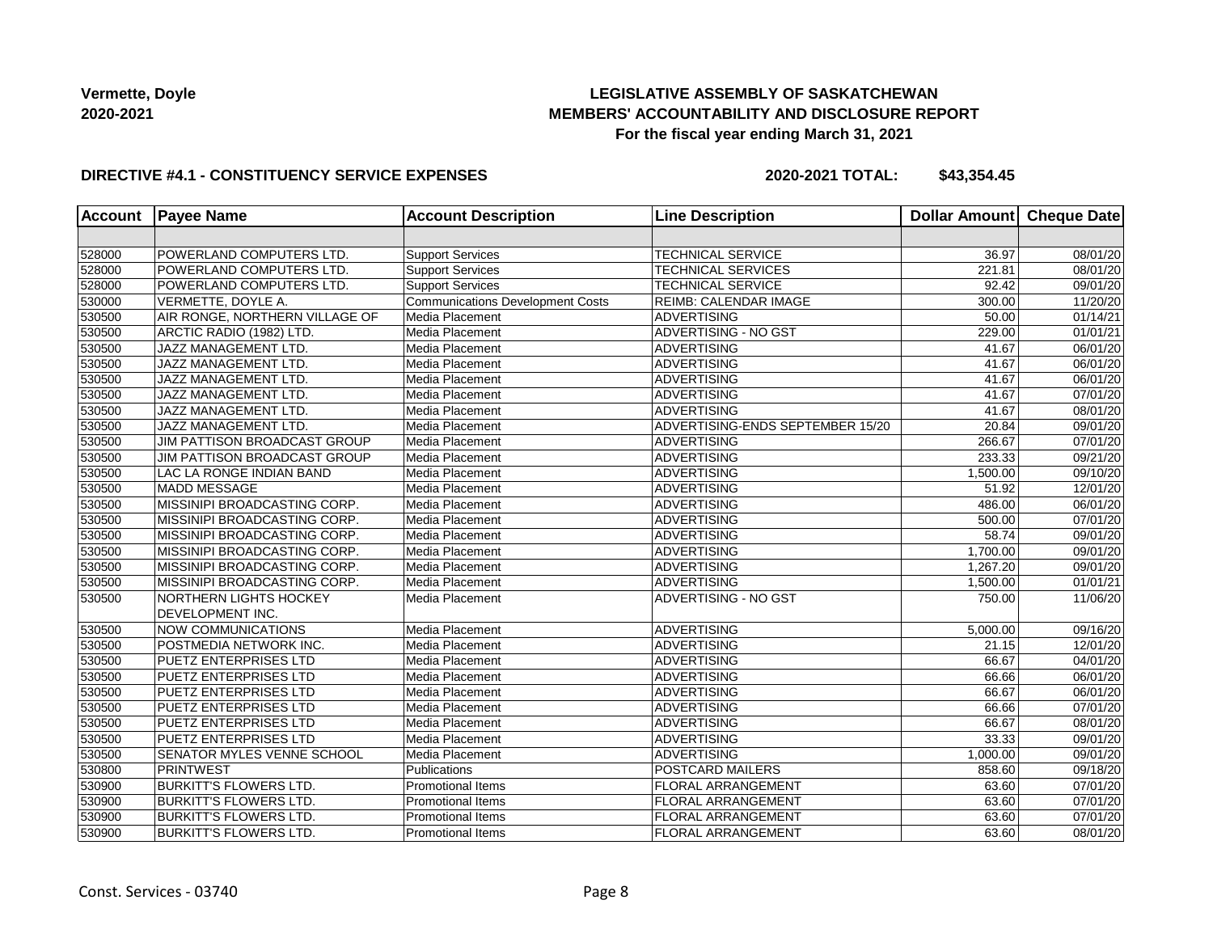# **LEGISLATIVE ASSEMBLY OF SASKATCHEWAN MEMBERS' ACCOUNTABILITY AND DISCLOSURE REPORT For the fiscal year ending March 31, 2021**

### **DIRECTIVE #4.1 - CONSTITUENCY SERVICE EXPENSES**

| <b>Account</b> | <b>Payee Name</b>              | <b>Account Description</b>              | <b>Line Description</b>          | <b>Dollar Amount</b> | <b>Cheque Date</b>    |
|----------------|--------------------------------|-----------------------------------------|----------------------------------|----------------------|-----------------------|
|                |                                |                                         |                                  |                      |                       |
| 528000         | POWERLAND COMPUTERS LTD.       | <b>Support Services</b>                 | <b>TECHNICAL SERVICE</b>         | 36.97                | 08/01/20              |
| 528000         | POWERLAND COMPUTERS LTD.       | Support Services                        | <b>TECHNICAL SERVICES</b>        | 221.81               | 08/01/20              |
| 528000         | POWERLAND COMPUTERS LTD.       | <b>Support Services</b>                 | <b>TECHNICAL SERVICE</b>         | 92.42                | 09/01/20              |
| 530000         | VERMETTE, DOYLE A.             | <b>Communications Development Costs</b> | REIMB: CALENDAR IMAGE            | 300.00               | 11/20/20              |
| 530500         | AIR RONGE, NORTHERN VILLAGE OF | Media Placement                         | <b>ADVERTISING</b>               | 50.00                | 01/14/21              |
| 530500         | ARCTIC RADIO (1982) LTD.       | Media Placement                         | <b>ADVERTISING - NO GST</b>      | 229.00               | 01/01/21              |
| 530500         | JAZZ MANAGEMENT LTD.           | Media Placement                         | <b>ADVERTISING</b>               | 41.67                | 06/01/20              |
| 530500         | JAZZ MANAGEMENT LTD.           | Media Placement                         | <b>ADVERTISING</b>               | 41.67                | 06/01/20              |
| 530500         | JAZZ MANAGEMENT LTD.           | Media Placement                         | ADVERTISING                      | 41.67                | 06/01/20              |
| 530500         | JAZZ MANAGEMENT LTD.           | Media Placement                         | <b>ADVERTISING</b>               | 41.67                | 07/01/20              |
| 530500         | JAZZ MANAGEMENT LTD.           | Media Placement                         | <b>ADVERTISING</b>               | 41.67                | 08/01/20              |
| 530500         | JAZZ MANAGEMENT LTD.           | Media Placement                         | ADVERTISING-ENDS SEPTEMBER 15/20 | 20.84                | 09/01/20              |
| 530500         | JIM PATTISON BROADCAST GROUP   | Media Placement                         | <b>ADVERTISING</b>               | 266.67               | 07/01/20              |
| 530500         | JIM PATTISON BROADCAST GROUP   | Media Placement                         | <b>ADVERTISING</b>               | 233.33               | 09/21/20              |
| 530500         | LAC LA RONGE INDIAN BAND       | Media Placement                         | ADVERTISING                      | 1,500.00             | 09/10/20              |
| 530500         | <b>MADD MESSAGE</b>            | Media Placement                         | <b>ADVERTISING</b>               | 51.92                | 12/01/20              |
| 530500         | MISSINIPI BROADCASTING CORP.   | Media Placement                         | <b>ADVERTISING</b>               | 486.00               | 06/01/20              |
| 530500         | MISSINIPI BROADCASTING CORP.   | Media Placement                         | <b>ADVERTISING</b>               | 500.00               | 07/01/20              |
| 530500         | MISSINIPI BROADCASTING CORP.   | Media Placement                         | <b>ADVERTISING</b>               | 58.74                | 09/01/20              |
| 530500         | MISSINIPI BROADCASTING CORP.   | Media Placement                         | <b>ADVERTISING</b>               | 1,700.00             | 09/01/20              |
| 530500         | MISSINIPI BROADCASTING CORP.   | Media Placement                         | <b>ADVERTISING</b>               | 1,267.20             | 09/01/20              |
| 530500         | MISSINIPI BROADCASTING CORP.   | Media Placement                         | <b>ADVERTISING</b>               | 1,500.00             | 01/01/21              |
| 530500         | <b>NORTHERN LIGHTS HOCKEY</b>  | Media Placement                         | ADVERTISING - NO GST             | 750.00               | 11/06/20              |
|                | DEVELOPMENT INC.               |                                         |                                  |                      |                       |
| 530500         | <b>NOW COMMUNICATIONS</b>      | Media Placement                         | <b>ADVERTISING</b>               | 5,000.00             | 09/16/20              |
| 530500         | POSTMEDIA NETWORK INC.         | Media Placement                         | <b>ADVERTISING</b>               | 21.15                | 12/01/20              |
| 530500         | PUETZ ENTERPRISES LTD          | Media Placement                         | ADVERTISING                      | 66.67                | 04/01/20              |
| 530500         | <b>PUETZ ENTERPRISES LTD</b>   | Media Placement                         | <b>ADVERTISING</b>               | 66.66                | 06/01/20              |
| 530500         | PUETZ ENTERPRISES LTD          | Media Placement                         | <b>ADVERTISING</b>               | 66.67                | 06/01/20              |
| 530500         | PUETZ ENTERPRISES LTD          | Media Placement                         | <b>ADVERTISING</b>               | 66.66                | 07/01/20              |
| 530500         | PUETZ ENTERPRISES LTD          | Media Placement                         | <b>ADVERTISING</b>               | 66.67                | 08/01/20              |
| 530500         | PUETZ ENTERPRISES LTD          | Media Placement                         | <b>ADVERTISING</b>               | 33.33                | 09/01/20              |
| 530500         | SENATOR MYLES VENNE SCHOOL     | Media Placement                         | ADVERTISING                      | 1,000.00             | 09/01/20              |
| 530800         | <b>PRINTWEST</b>               | Publications                            | POSTCARD MAILERS                 | 858.60               | 09/18/20              |
| 530900         | <b>BURKITT'S FLOWERS LTD.</b>  | <b>Promotional Items</b>                | <b>FLORAL ARRANGEMENT</b>        | 63.60                | 07/01/20              |
| 530900         | <b>BURKITT'S FLOWERS LTD.</b>  | <b>Promotional Items</b>                | <b>FLORAL ARRANGEMENT</b>        | 63.60                | $\overline{07}/01/20$ |
| 530900         | <b>BURKITT'S FLOWERS LTD.</b>  | Promotional Items                       | <b>FLORAL ARRANGEMENT</b>        | 63.60                | 07/01/20              |
| 530900         | <b>BURKITT'S FLOWERS LTD.</b>  | <b>Promotional Items</b>                | <b>FLORAL ARRANGEMENT</b>        | 63.60                | 08/01/20              |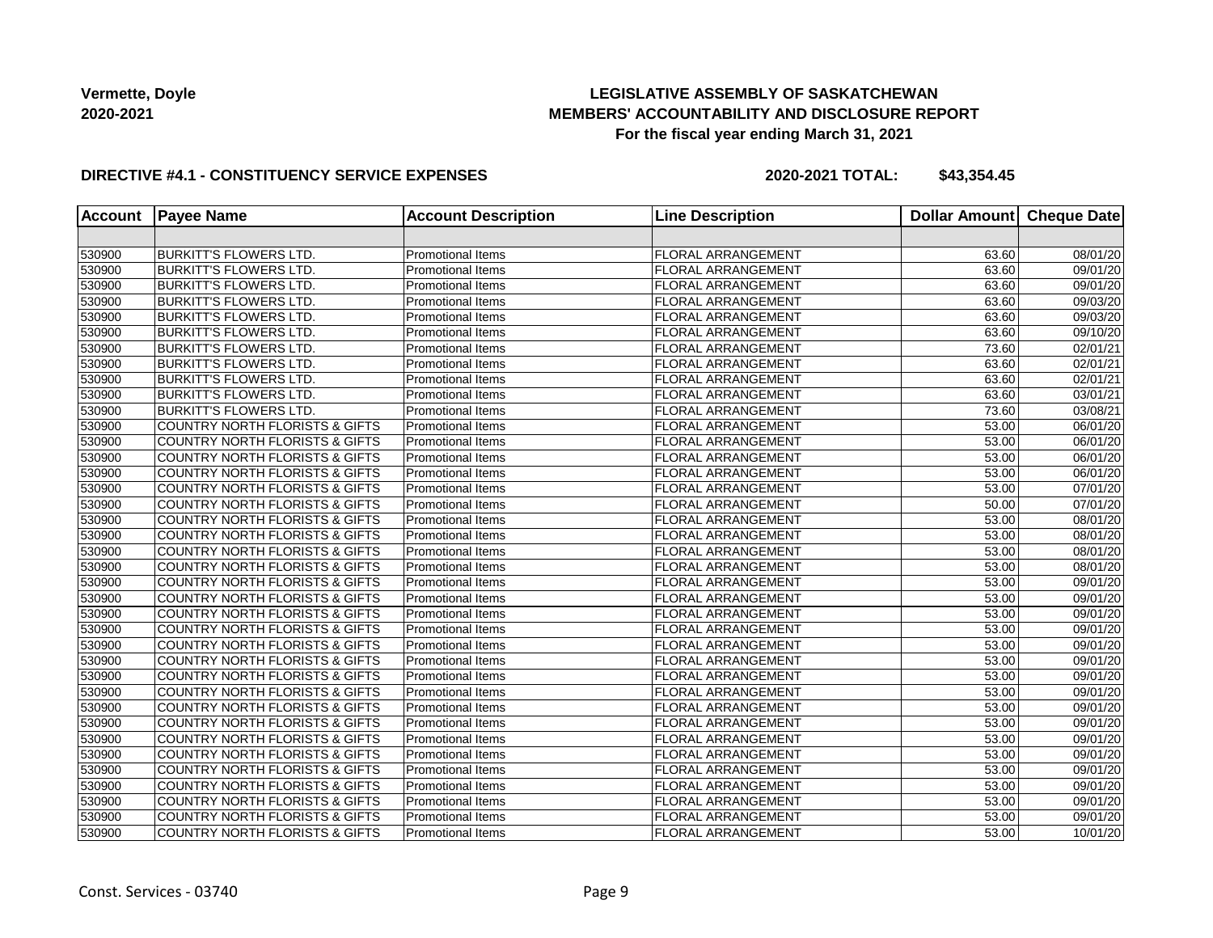# **LEGISLATIVE ASSEMBLY OF SASKATCHEWAN MEMBERS' ACCOUNTABILITY AND DISCLOSURE REPORT For the fiscal year ending March 31, 2021**

### **DIRECTIVE #4.1 - CONSTITUENCY SERVICE EXPENSES**

| <b>Account</b> | <b>Payee Name</b>                         | <b>Account Description</b> | <b>Line Description</b>   | <b>Dollar Amount</b> | <b>Cheque Date</b> |
|----------------|-------------------------------------------|----------------------------|---------------------------|----------------------|--------------------|
|                |                                           |                            |                           |                      |                    |
| 530900         | <b>BURKITT'S FLOWERS LTD.</b>             | Promotional Items          | FLORAL ARRANGEMENT        | 63.60                | 08/01/20           |
| 530900         | <b>BURKITT'S FLOWERS LTD.</b>             | <b>Promotional Items</b>   | <b>FLORAL ARRANGEMENT</b> | 63.60                | 09/01/20           |
| 530900         | <b>BURKITT'S FLOWERS LTD.</b>             | Promotional Items          | <b>FLORAL ARRANGEMENT</b> | 63.60                | 09/01/20           |
| 530900         | <b>BURKITT'S FLOWERS LTD.</b>             | Promotional Items          | <b>FLORAL ARRANGEMENT</b> | 63.60                | 09/03/20           |
| 530900         | <b>BURKITT'S FLOWERS LTD.</b>             | <b>Promotional Items</b>   | <b>FLORAL ARRANGEMENT</b> | 63.60                | 09/03/20           |
| 530900         | BURKITT'S FLOWERS LTD.                    | Promotional Items          | <b>FLORAL ARRANGEMENT</b> | 63.60                | 09/10/20           |
| 530900         | <b>BURKITT'S FLOWERS LTD.</b>             | <b>Promotional Items</b>   | <b>FLORAL ARRANGEMENT</b> | 73.60                | 02/01/21           |
| 530900         | <b>BURKITT'S FLOWERS LTD.</b>             | Promotional Items          | <b>FLORAL ARRANGEMENT</b> | 63.60                | 02/01/21           |
| 530900         | <b>BURKITT'S FLOWERS LTD.</b>             | Promotional Items          | <b>FLORAL ARRANGEMENT</b> | 63.60                | 02/01/21           |
| 530900         | <b>BURKITT'S FLOWERS LTD.</b>             | Promotional Items          | <b>FLORAL ARRANGEMENT</b> | 63.60                | 03/01/21           |
| 530900         | <b>BURKITT'S FLOWERS LTD.</b>             | <b>Promotional Items</b>   | <b>FLORAL ARRANGEMENT</b> | 73.60                | 03/08/21           |
| 530900         | <b>COUNTRY NORTH FLORISTS &amp; GIFTS</b> | <b>Promotional Items</b>   | <b>FLORAL ARRANGEMENT</b> | 53.00                | 06/01/20           |
| 530900         | <b>COUNTRY NORTH FLORISTS &amp; GIFTS</b> | <b>Promotional Items</b>   | <b>FLORAL ARRANGEMENT</b> | 53.00                | 06/01/20           |
| 530900         | <b>COUNTRY NORTH FLORISTS &amp; GIFTS</b> | <b>Promotional Items</b>   | <b>FLORAL ARRANGEMENT</b> | 53.00                | 06/01/20           |
| 530900         | <b>COUNTRY NORTH FLORISTS &amp; GIFTS</b> | Promotional Items          | <b>FLORAL ARRANGEMENT</b> | 53.00                | 06/01/20           |
| 530900         | COUNTRY NORTH FLORISTS & GIFTS            | Promotional Items          | <b>FLORAL ARRANGEMENT</b> | 53.00                | 07/01/20           |
| 530900         | COUNTRY NORTH FLORISTS & GIFTS            | Promotional Items          | <b>FLORAL ARRANGEMENT</b> | 50.00                | 07/01/20           |
| 530900         | <b>COUNTRY NORTH FLORISTS &amp; GIFTS</b> | <b>Promotional Items</b>   | <b>FLORAL ARRANGEMENT</b> | 53.00                | 08/01/20           |
| 530900         | <b>COUNTRY NORTH FLORISTS &amp; GIFTS</b> | <b>Promotional Items</b>   | FLORAL ARRANGEMENT        | 53.00                | 08/01/20           |
| 530900         | COUNTRY NORTH FLORISTS & GIFTS            | <b>Promotional Items</b>   | <b>FLORAL ARRANGEMENT</b> | 53.00                | 08/01/20           |
| 530900         | COUNTRY NORTH FLORISTS & GIFTS            | Promotional Items          | <b>FLORAL ARRANGEMENT</b> | 53.00                | 08/01/20           |
| 530900         | COUNTRY NORTH FLORISTS & GIFTS            | Promotional Items          | <b>FLORAL ARRANGEMENT</b> | 53.00                | 09/01/20           |
| 530900         | <b>COUNTRY NORTH FLORISTS &amp; GIFTS</b> | <b>Promotional Items</b>   | <b>FLORAL ARRANGEMENT</b> | 53.00                | 09/01/20           |
| 530900         | <b>COUNTRY NORTH FLORISTS &amp; GIFTS</b> | Promotional Items          | <b>FLORAL ARRANGEMENT</b> | 53.00                | 09/01/20           |
| 530900         | <b>COUNTRY NORTH FLORISTS &amp; GIFTS</b> | <b>Promotional Items</b>   | <b>FLORAL ARRANGEMENT</b> | 53.00                | 09/01/20           |
| 530900         | <b>COUNTRY NORTH FLORISTS &amp; GIFTS</b> | Promotional Items          | <b>FLORAL ARRANGEMENT</b> | 53.00                | 09/01/20           |
| 530900         | COUNTRY NORTH FLORISTS & GIFTS            | Promotional Items          | <b>FLORAL ARRANGEMENT</b> | 53.00                | 09/01/20           |
| 530900         | COUNTRY NORTH FLORISTS & GIFTS            | Promotional Items          | <b>FLORAL ARRANGEMENT</b> | 53.00                | 09/01/20           |
| 530900         | <b>COUNTRY NORTH FLORISTS &amp; GIFTS</b> | <b>Promotional Items</b>   | <b>FLORAL ARRANGEMENT</b> | 53.00                | 09/01/20           |
| 530900         | <b>COUNTRY NORTH FLORISTS &amp; GIFTS</b> | <b>Promotional Items</b>   | <b>FLORAL ARRANGEMENT</b> | 53.00                | 09/01/20           |
| 530900         | COUNTRY NORTH FLORISTS & GIFTS            | Promotional Items          | FLORAL ARRANGEMENT        | 53.00                | 09/01/20           |
| 530900         | COUNTRY NORTH FLORISTS & GIFTS            | <b>Promotional Items</b>   | FLORAL ARRANGEMENT        | 53.00                | 09/01/20           |
| 530900         | <b>COUNTRY NORTH FLORISTS &amp; GIFTS</b> | Promotional Items          | <b>FLORAL ARRANGEMENT</b> | 53.00                | 09/01/20           |
| 530900         | COUNTRY NORTH FLORISTS & GIFTS            | Promotional Items          | <b>FLORAL ARRANGEMENT</b> | 53.00                | 09/01/20           |
| 530900         | <b>COUNTRY NORTH FLORISTS &amp; GIFTS</b> | <b>Promotional Items</b>   | <b>FLORAL ARRANGEMENT</b> | 53.00                | 09/01/20           |
| 530900         | <b>COUNTRY NORTH FLORISTS &amp; GIFTS</b> | <b>Promotional Items</b>   | <b>FLORAL ARRANGEMENT</b> | 53.00                | 09/01/20           |
| 530900         | <b>COUNTRY NORTH FLORISTS &amp; GIFTS</b> | <b>Promotional Items</b>   | <b>FLORAL ARRANGEMENT</b> | 53.00                | 09/01/20           |
| 530900         | <b>COUNTRY NORTH FLORISTS &amp; GIFTS</b> | <b>Promotional Items</b>   | <b>FLORAL ARRANGEMENT</b> | 53.00                | 10/01/20           |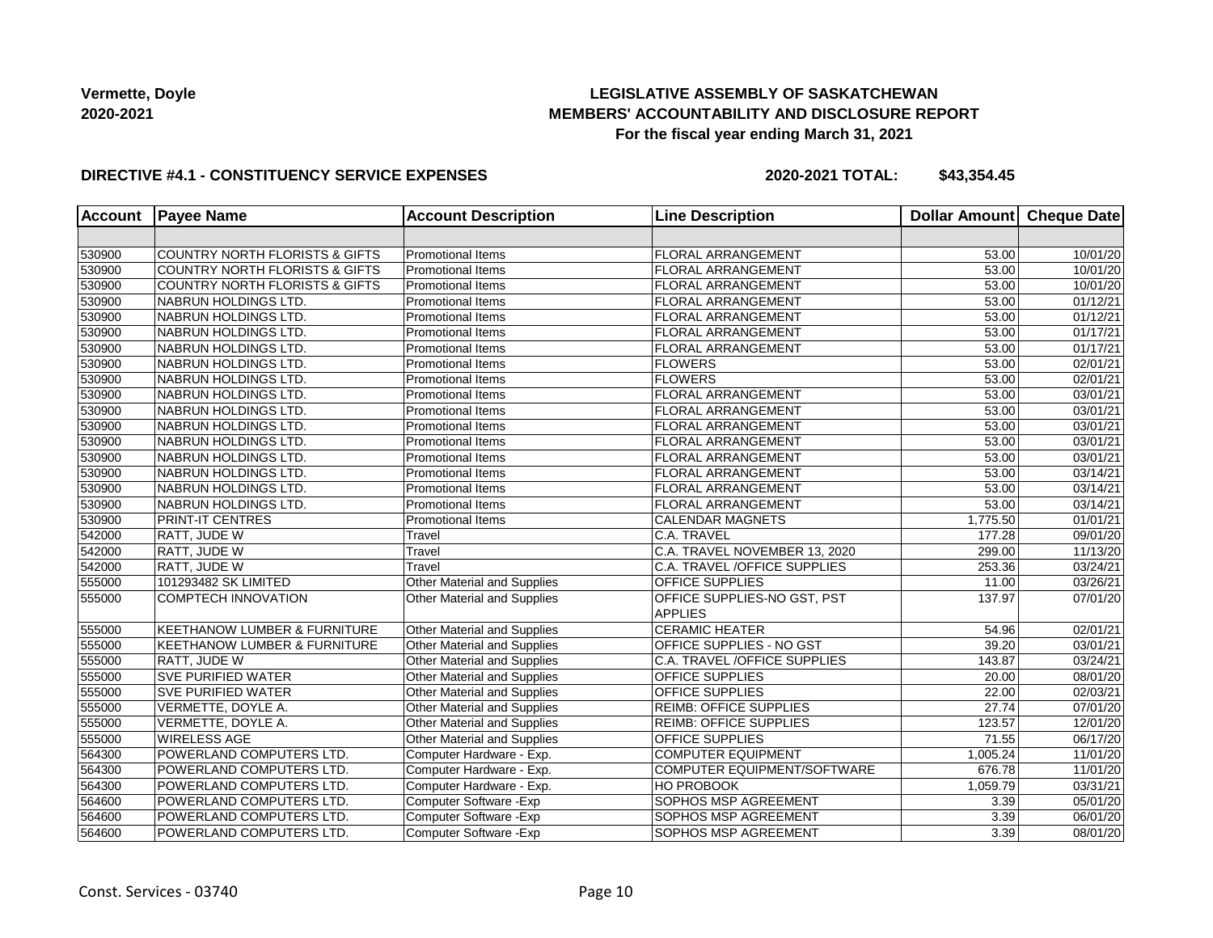# **LEGISLATIVE ASSEMBLY OF SASKATCHEWAN MEMBERS' ACCOUNTABILITY AND DISCLOSURE REPORT For the fiscal year ending March 31, 2021**

### **DIRECTIVE #4.1 - CONSTITUENCY SERVICE EXPENSES**

| <b>Account</b> | <b>Payee Name</b>                         | <b>Account Description</b>         | <b>Line Description</b>         | <b>Dollar Amount</b> | Cheque Date |
|----------------|-------------------------------------------|------------------------------------|---------------------------------|----------------------|-------------|
|                |                                           |                                    |                                 |                      |             |
| 530900         | COUNTRY NORTH FLORISTS & GIFTS            | Promotional Items                  | <b>FLORAL ARRANGEMENT</b>       | 53.00                | 10/01/20    |
| 530900         | <b>COUNTRY NORTH FLORISTS &amp; GIFTS</b> | <b>Promotional Items</b>           | <b>FLORAL ARRANGEMENT</b>       | 53.00                | 10/01/20    |
| 530900         | <b>COUNTRY NORTH FLORISTS &amp; GIFTS</b> | <b>Promotional Items</b>           | <b>FLORAL ARRANGEMENT</b>       | 53.00                | 10/01/20    |
| 530900         | NABRUN HOLDINGS LTD.                      | <b>Promotional Items</b>           | <b>FLORAL ARRANGEMENT</b>       | 53.00                | 01/12/21    |
| 530900         | NABRUN HOLDINGS LTD.                      | <b>Promotional Items</b>           | <b>FLORAL ARRANGEMENT</b>       | 53.00                | 01/12/21    |
| 530900         | NABRUN HOLDINGS LTD.                      | <b>Promotional Items</b>           | <b>FLORAL ARRANGEMENT</b>       | 53.00                | 01/17/21    |
| 530900         | NABRUN HOLDINGS LTD.                      | <b>Promotional Items</b>           | <b>FLORAL ARRANGEMENT</b>       | 53.00                | 01/17/21    |
| 530900         | NABRUN HOLDINGS LTD.                      | Promotional Items                  | <b>FLOWERS</b>                  | 53.00                | 02/01/21    |
| 530900         | NABRUN HOLDINGS LTD.                      | Promotional Items                  | <b>FLOWERS</b>                  | 53.00                | 02/01/21    |
| 530900         | NABRUN HOLDINGS LTD.                      | Promotional Items                  | <b>FLORAL ARRANGEMENT</b>       | 53.00                | 03/01/21    |
| 530900         | NABRUN HOLDINGS LTD.                      | Promotional Items                  | FLORAL ARRANGEMENT              | 53.00                | 03/01/21    |
| 530900         | NABRUN HOLDINGS LTD.                      | <b>Promotional Items</b>           | <b>FLORAL ARRANGEMENT</b>       | 53.00                | 03/01/21    |
| 530900         | NABRUN HOLDINGS LTD.                      | <b>Promotional Items</b>           | <b>FLORAL ARRANGEMENT</b>       | 53.00                | 03/01/21    |
| 530900         | NABRUN HOLDINGS LTD.                      | <b>Promotional Items</b>           | <b>FLORAL ARRANGEMENT</b>       | 53.00                | 03/01/21    |
| 530900         | NABRUN HOLDINGS LTD.                      | <b>Promotional Items</b>           | <b>FLORAL ARRANGEMENT</b>       | 53.00                | 03/14/21    |
| 530900         | NABRUN HOLDINGS LTD.                      | Promotional Items                  | <b>FLORAL ARRANGEMENT</b>       | 53.00                | 03/14/21    |
| 530900         | NABRUN HOLDINGS LTD.                      | <b>Promotional Items</b>           | <b>FLORAL ARRANGEMENT</b>       | 53.00                | 03/14/21    |
| 530900         | PRINT-IT CENTRES                          | <b>Promotional Items</b>           | <b>CALENDAR MAGNETS</b>         | 1,775.50             | 01/01/21    |
| 542000         | RATT, JUDE W                              | Travel                             | C.A. TRAVEL                     | 177.28               | 09/01/20    |
| 542000         | RATT, JUDE W                              | Travel                             | C.A. TRAVEL NOVEMBER 13, 2020   | 299.00               | 11/13/20    |
| 542000         | RATT, JUDE W                              | Travel                             | C.A. TRAVEL / OFFICE SUPPLIES   | 253.36               | 03/24/21    |
| 555000         | 101293482 SK LIMITED                      | Other Material and Supplies        | <b>OFFICE SUPPLIES</b>          | 11.00                | 03/26/21    |
| 555000         | <b>COMPTECH INNOVATION</b>                | Other Material and Supplies        | OFFICE SUPPLIES-NO GST, PST     | 137.97               | 07/01/20    |
|                |                                           |                                    | <b>APPLIES</b>                  |                      |             |
| 555000         | <b>KEETHANOW LUMBER &amp; FURNITURE</b>   | Other Material and Supplies        | <b>CERAMIC HEATER</b>           | 54.96                | 02/01/21    |
| 555000         | <b>KEETHANOW LUMBER &amp; FURNITURE</b>   | <b>Other Material and Supplies</b> | <b>OFFICE SUPPLIES - NO GST</b> | 39.20                | 03/01/21    |
| 555000         | <b>RATT, JUDE W</b>                       | <b>Other Material and Supplies</b> | C.A. TRAVEL / OFFICE SUPPLIES   | 143.87               | 03/24/21    |
| 555000         | <b>SVE PURIFIED WATER</b>                 | Other Material and Supplies        | <b>OFFICE SUPPLIES</b>          | 20.00                | 08/01/20    |
| 555000         | <b>SVE PURIFIED WATER</b>                 | Other Material and Supplies        | <b>OFFICE SUPPLIES</b>          | 22.00                | 02/03/21    |
| 555000         | VERMETTE, DOYLE A.                        | Other Material and Supplies        | <b>REIMB: OFFICE SUPPLIES</b>   | 27.74                | 07/01/20    |
| 555000         | VERMETTE, DOYLE A.                        | Other Material and Supplies        | <b>REIMB: OFFICE SUPPLIES</b>   | 123.57               | 12/01/20    |
| 555000         | <b>WIRELESS AGE</b>                       | Other Material and Supplies        | <b>OFFICE SUPPLIES</b>          | 71.55                | 06/17/20    |
| 564300         | POWERLAND COMPUTERS LTD.                  | Computer Hardware - Exp.           | <b>COMPUTER EQUIPMENT</b>       | 1,005.24             | 11/01/20    |
| 564300         | POWERLAND COMPUTERS LTD.                  | Computer Hardware - Exp.           | COMPUTER EQUIPMENT/SOFTWARE     | 676.78               | 11/01/20    |
| 564300         | POWERLAND COMPUTERS LTD.                  | Computer Hardware - Exp.           | HO PROBOOK                      | 1,059.79             | 03/31/21    |
| 564600         | POWERLAND COMPUTERS LTD.                  | Computer Software - Exp            | SOPHOS MSP AGREEMENT            | 3.39                 | 05/01/20    |
| 564600         | POWERLAND COMPUTERS LTD.                  | Computer Software - Exp            | SOPHOS MSP AGREEMENT            | 3.39                 | 06/01/20    |
| 564600         | POWERLAND COMPUTERS LTD.                  | Computer Software - Exp            | SOPHOS MSP AGREEMENT            | 3.39                 | 08/01/20    |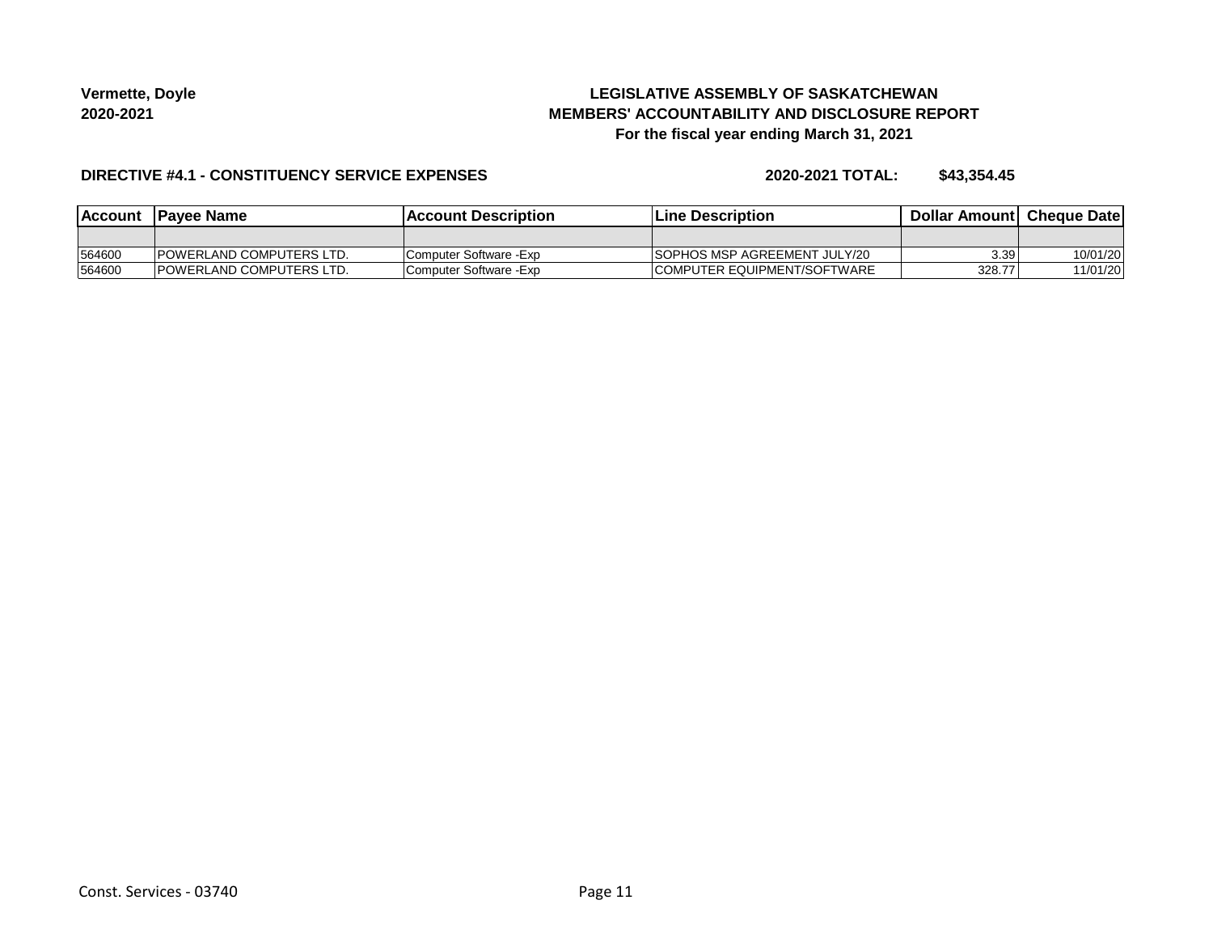# **LEGISLATIVE ASSEMBLY OF SASKATCHEWAN MEMBERS' ACCOUNTABILITY AND DISCLOSURE REPORT For the fiscal year ending March 31, 2021**

### **DIRECTIVE #4.1 - CONSTITUENCY SERVICE EXPENSES**

| lAccount | <b>IPavee Name</b>               | <b>Account Description</b> | <b>Line Description</b>              | <b>Dollar Amountl Cheque Date</b> |          |
|----------|----------------------------------|----------------------------|--------------------------------------|-----------------------------------|----------|
|          |                                  |                            |                                      |                                   |          |
| 564600   | <b>IPOWERLAND COMPUTERS LTD.</b> | Computer Software - Exp    | <b>ISOPHOS MSP AGREEMENT JULY/20</b> | 3.39                              | 10/01/20 |
| 564600   | <b>IPOWERLAND COMPUTERS LTD.</b> | Computer Software - Exp    | COMPUTER EQUIPMENT/SOFTWARE          | 328.77                            | 11/01/20 |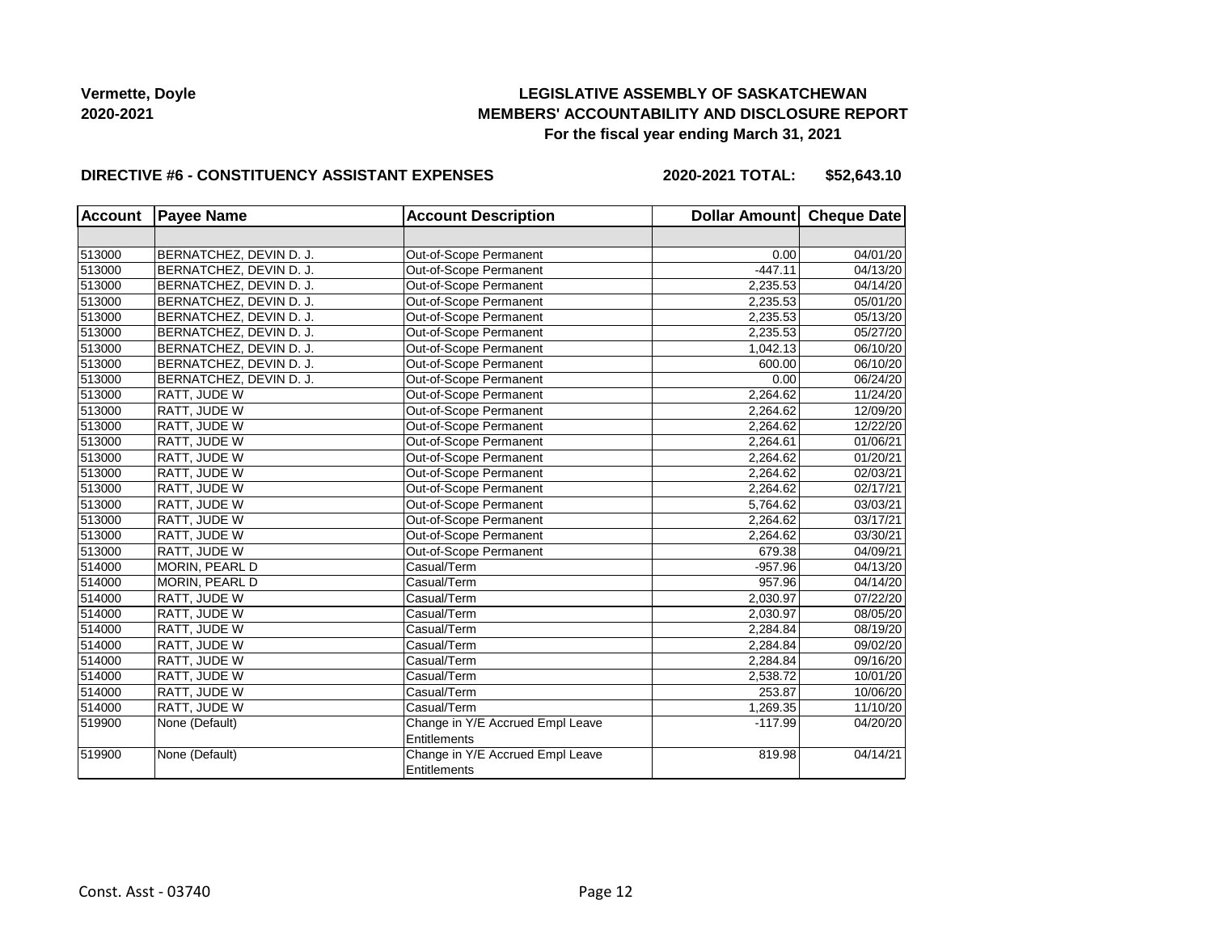# **LEGISLATIVE ASSEMBLY OF SASKATCHEWAN MEMBERS' ACCOUNTABILITY AND DISCLOSURE REPORT For the fiscal year ending March 31, 2021**

### **DIRECTIVE #6 - CONSTITUENCY ASSISTANT EXPENSES**

**2020-2021 TOTAL: \$52,643.10**

| <b>Account</b> | <b>Payee Name</b>       | <b>Account Description</b>                              | Dollar Amount Cheque Date |                       |
|----------------|-------------------------|---------------------------------------------------------|---------------------------|-----------------------|
|                |                         |                                                         |                           |                       |
| 513000         | BERNATCHEZ, DEVIN D. J. | Out-of-Scope Permanent                                  | 0.00                      | $\overline{04/01/20}$ |
| 513000         | BERNATCHEZ, DEVIN D. J. | Out-of-Scope Permanent                                  | $-447.11$                 | 04/13/20              |
| 513000         | BERNATCHEZ, DEVIN D. J. | Out-of-Scope Permanent                                  | 2,235.53                  | 04/14/20              |
| 513000         | BERNATCHEZ, DEVIN D. J. | Out-of-Scope Permanent                                  | 2,235.53                  | 05/01/20              |
| 513000         | BERNATCHEZ, DEVIN D. J. | Out-of-Scope Permanent                                  | 2,235.53                  | 05/13/20              |
| 513000         | BERNATCHEZ, DEVIN D. J. | Out-of-Scope Permanent                                  | 2,235.53                  | 05/27/20              |
| 513000         | BERNATCHEZ, DEVIN D. J. | Out-of-Scope Permanent                                  | 1,042.13                  | 06/10/20              |
| 513000         | BERNATCHEZ, DEVIN D. J. | Out-of-Scope Permanent                                  | 600.00                    | 06/10/20              |
| 513000         | BERNATCHEZ, DEVIN D. J. | Out-of-Scope Permanent                                  | 0.00                      | 06/24/20              |
| 513000         | RATT, JUDE W            | Out-of-Scope Permanent                                  | 2,264.62                  | 11/24/20              |
| 513000         | RATT, JUDE W            | Out-of-Scope Permanent                                  | 2,264.62                  | 12/09/20              |
| 513000         | RATT, JUDE W            | Out-of-Scope Permanent                                  | 2.264.62                  | 12/22/20              |
| 513000         | RATT, JUDE W            | Out-of-Scope Permanent                                  | 2,264.61                  | 01/06/21              |
| 513000         | RATT, JUDE W            | Out-of-Scope Permanent                                  | 2,264.62                  | 01/20/21              |
| 513000         | RATT, JUDE W            | Out-of-Scope Permanent                                  | 2,264.62                  | 02/03/21              |
| 513000         | RATT, JUDE W            | Out-of-Scope Permanent                                  | 2,264.62                  | 02/17/21              |
| 513000         | RATT, JUDE W            | Out-of-Scope Permanent                                  | 5,764.62                  | 03/03/21              |
| 513000         | RATT, JUDE W            | Out-of-Scope Permanent                                  | 2,264.62                  | 03/17/21              |
| 513000         | RATT, JUDE W            | Out-of-Scope Permanent                                  | 2,264.62                  | 03/30/21              |
| 513000         | RATT, JUDE W            | Out-of-Scope Permanent                                  | 679.38                    | 04/09/21              |
| 514000         | MORIN, PEARL D          | Casual/Term                                             | $-957.96$                 | 04/13/20              |
| 514000         | MORIN, PEARL D          | Casual/Term                                             | 957.96                    | 04/14/20              |
| 514000         | RATT, JUDE W            | Casual/Term                                             | 2,030.97                  | 07/22/20              |
| 514000         | RATT, JUDE W            | Casual/Term                                             | 2,030.97                  | 08/05/20              |
| 514000         | RATT, JUDE W            | Casual/Term                                             | 2,284.84                  | 08/19/20              |
| 514000         | RATT, JUDE W            | Casual/Term                                             | 2,284.84                  | 09/02/20              |
| 514000         | RATT, JUDE W            | Casual/Term                                             | 2,284.84                  | 09/16/20              |
| 514000         | RATT, JUDE W            | Casual/Term                                             | 2,538.72                  | 10/01/20              |
| 514000         | RATT, JUDE W            | Casual/Term                                             | 253.87                    | 10/06/20              |
| 514000         | RATT, JUDE W            | Casual/Term                                             | 1,269.35                  | 11/10/20              |
| 519900         | None (Default)          | Change in Y/E Accrued Empl Leave<br>Entitlements        | $-117.99$                 | 04/20/20              |
| 519900         | None (Default)          | Change in Y/E Accrued Empl Leave<br><b>Entitlements</b> | 819.98                    | 04/14/21              |
|                |                         |                                                         |                           |                       |